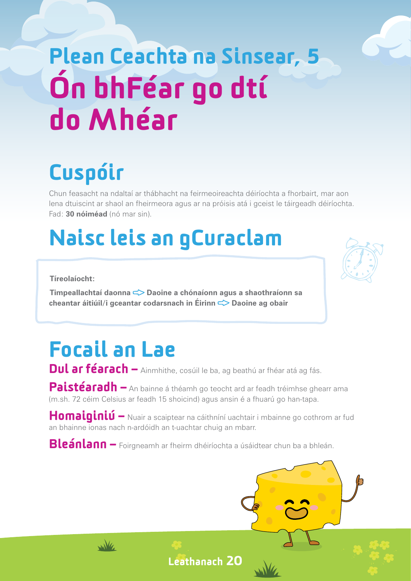## Plean Ceachta na Sinsear, 5 Ón bhFéar go dtí do Mhéar

## Cuspóir

Chun feasacht na ndaltaí ar thábhacht na feirmeoireachta déiríochta a fhorbairt, mar aon lena dtuiscint ar shaol an fheirmeora agus ar na próisis atá i gceist le táirgeadh déiríochta. Fad: **30 nóiméad** (nó mar sin).

### Naisc leis an gCuraclam

**Tíreolaíocht:**

**Timpeallachtaí daonna < Daoine a chónaíonn agus a shaothraíonn sa cheantar áitiúil/i gceantar codarsnach in Éirinn**  $\leq$  **Daoine ag obair** 



### Focail an Lae

wike

Dul ar féarach – Ainmhithe, cosúil le ba, ag beathú ar fhéar atá ag fás.

Paistéaradh – An bainne á théamh go teocht ard ar feadh tréimhse ghearr ama (m.sh. 72 céim Celsius ar feadh 15 shoicind) agus ansin é a fhuarú go han-tapa.

Homaiginiú – Nuair a scaiptear na cáithníní uachtair i mbainne go cothrom ar fud an bhainne ionas nach n-ardóidh an t-uachtar chuig an mbarr.

Bleánlann – Foirgneamh ar fheirm dhéiríochta a úsáidtear chun ba a bhleán.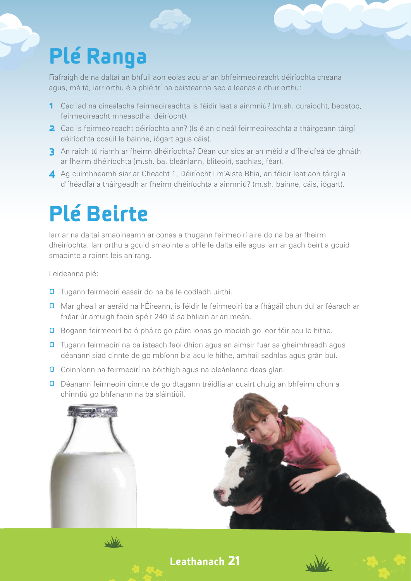### Plé Ranga

Fiafraigh de na daltaí an bhfuil aon eolas acu ar an bhfeirmeoireacht déiríochta cheana agus, má tá, iarr orthu é a phlé trí na ceisteanna seo a leanas a chur orthu:

- 1 Cad iad na cineálacha feirmeoireachta is féidir leat a ainmniú? (m.sh. curaíocht, beostoc, feirmeoireacht mheasctha, déiríocht).
- **2** Cad is feirmeoireacht déiríochta ann? (Is é an cineál feirmeoireachta a tháirgeann táirgí déiríochta cosúil le bainne, iógart agus cáis).
- 3 An raibh tú riamh ar fheirm dhéiríochta? Déan cur síos ar an méid a d'fheicfeá de ghnáth ar fheirm dhéiríochta (m.sh. ba, bleánlann, bliteoirí, sadhlas, féar).
- 4 Ag cuimhneamh siar ar Cheacht 1, Déiríocht i m'Aiste Bhia, an féidir leat aon táirgí a d'fhéadfaí a tháirgeadh ar fheirm dhéiríochta a ainmniú? (m.sh. bainne, cáis, iógart).

### Plé Beirte

Iarr ar na daltaí smaoineamh ar conas a thugann feirmeoirí aire do na ba ar fheirm dhéiríochta. Iarr orthu a gcuid smaointe a phlé le dalta eile agus iarr ar gach beirt a gcuid smaointe a roinnt leis an rang.

Leideanna plé:

- **O** Tugann feirmeoirí easair do na ba le codladh uirthi.
- **O** Mar gheall ar aeráid na hÉireann, is féidir le feirmeoirí ba a fhágáil chun dul ar féarach ar fhéar úr amuigh faoin spéir 240 lá sa bhliain ar an meán.
- **O** Bogann feirmeoirí ba ó pháirc go páirc ionas go mbeidh go leor féir acu le hithe.
- Tugann feirmeoirí na ba isteach faoi dhíon agus an aimsir fuar sa gheimhreadh agus déanann siad cinnte de go mbíonn bia acu le hithe, amhail sadhlas agus grán buí.
- **O** Coinníonn na feirmeoirí na bóithigh agus na bleánlanna deas glan.
- **O** Déanann feirmeoirí cinnte de go dtagann tréidlia ar cuairt chuig an bhfeirm chun a chinntiú go bhfanann na ba sláintiúil.





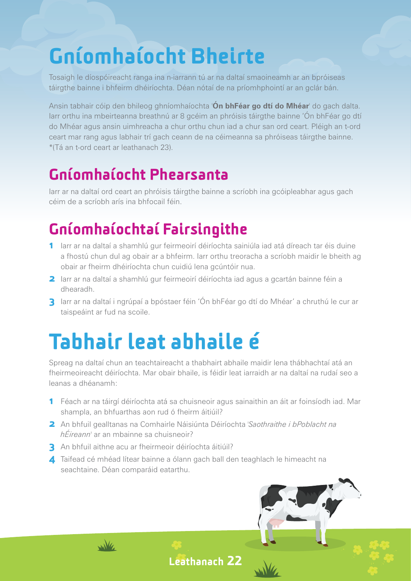### Gníomhaíocht Bheirte

Tosaigh le díospóireacht ranga ina n-iarrann tú ar na daltaí smaoineamh ar an bpróiseas táirgthe bainne i bhfeirm dhéiríochta. Déan nótaí de na príomhphointí ar an gclár bán.

Ansin tabhair cóip den bhileog ghníomhaíochta '**Ón bhFéar go dtí do Mhéar**' do gach dalta. Iarr orthu ina mbeirteanna breathnú ar 8 gcéim an phróisis táirgthe bainne 'Ón bhFéar go dtí do Mhéar agus ansin uimhreacha a chur orthu chun iad a chur san ord ceart. Pléigh an t-ord ceart mar rang agus labhair trí gach ceann de na céimeanna sa phróiseas táirgthe bainne. \*(Tá an t-ord ceart ar leathanach 23).

#### Gníomhaíocht Phearsanta

Iarr ar na daltaí ord ceart an phróisis táirgthe bainne a scríobh ina gcóipleabhar agus gach céim de a scríobh arís ina bhfocail féin.

#### Gníomhaíochtaí Fairsingithe

- 1 larr ar na daltaí a shamhlú gur feirmeoirí déiríochta sainiúla iad atá díreach tar éis duine a fhostú chun dul ag obair ar a bhfeirm. Iarr orthu treoracha a scríobh maidir le bheith ag obair ar fheirm dhéiríochta chun cuidiú lena gcúntóir nua.
- **2** Iarr ar na daltaí a shamhlú gur feirmeoirí déiríochta iad agus a gcartán bainne féin a dhearadh.
- 3 larr ar na daltaí i ngrúpaí a bpóstaer féin 'Ón bhFéar go dtí do Mhéar' a chruthú le cur ar taispeáint ar fud na scoile.

### Tabhair leat abhaile é

Spreag na daltaí chun an teachtaireacht a thabhairt abhaile maidir lena thábhachtaí atá an fheirmeoireacht déiríochta. Mar obair bhaile, is féidir leat iarraidh ar na daltaí na rudaí seo a leanas a dhéanamh:

- 1 Féach ar na táirgí déiríochta atá sa chuisneoir agus sainaithin an áit ar foinsíodh iad. Mar shampla, an bhfuarthas aon rud ó fheirm áitiúil?
- 2 An bhfuil gealltanas na Comhairle Náisiúnta Déiríochta '*Saothraithe i bPoblacht na hÉireann*' ar an mbainne sa chuisneoir?
- 3 An bhfuil aithne acu ar fheirmeoir déiríochta áitiúil?

wike

4 Taifead cé mhéad lítear bainne a ólann gach ball den teaghlach le himeacht na seachtaine. Déan comparáid eatarthu.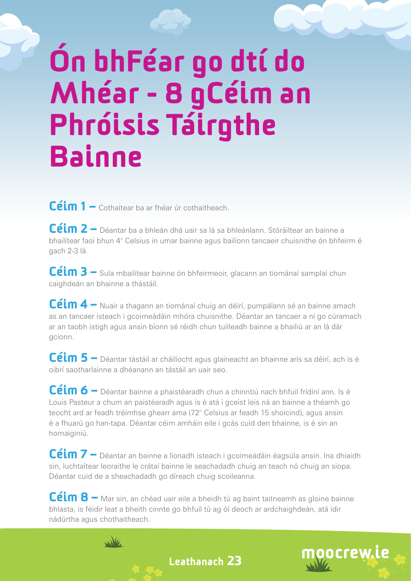# Ón bhFéar go dtí do Mhéar - 8 gCéim an Phróisis Táirgthe **Bainne**

Céim 1 – Cothaítear ba ar fhéar úr cothaitheach.

Céim 2 – Déantar ba a bhleán dhá uair sa lá sa bhleánlann. Stóráiltear an bainne a bhailítear faoi bhun 4° Celsius in umar bainne agus bailíonn tancaeir chuisnithe ón bhfeirm é gach 2-3 lá.

Céim 3 – Sula mbailítear bainne ón bhfeirmeoir, glacann an tiománaí samplaí chun caighdeán an bhainne a thástáil.

Céim 4 – Nuair a thagann an tiománaí chuig an déirí, pumpálann sé an bainne amach as an tancaer isteach i gcoimeádáin mhóra chuisnithe. Déantar an tancaer a ní go cúramach ar an taobh istigh agus ansin bíonn sé réidh chun tuilleadh bainne a bhailiú ar an lá dár gcionn.

Céim 5 – Déantar tástáil ar cháilíocht agus glaineacht an bhainne arís sa déirí, ach is é oibrí saotharlainne a dhéanann an tástáil an uair seo.

Céim 6 – Déantar bainne a phaistéaradh chun a chinntiú nach bhfuil frídíní ann. Is é Louis Pasteur a chum an paistéaradh agus is é atá i gceist leis ná an bainne a théamh go teocht ard ar feadh tréimhse ghearr ama (72° Celsius ar feadh 15 shoicind), agus ansin é a fhuarú go han-tapa. Déantar céim amháin eile i gcás cuid den bhainne, is é sin an homaiginiú.

Céim 7 – Déantar an bainne a líonadh isteach i gcoimeádáin éagsúla ansin. Ina dhiaidh sin, luchtaítear leoraithe le crátaí bainne le seachadadh chuig an teach nó chuig an siopa. Déantar cuid de a sheachadadh go díreach chuig scoileanna.

Céim 8 – Mar sin, an chéad uair eile a bheidh tú ag baint taitneamh as gloine bainne bhlasta, is féidir leat a bheith cinnte go bhfuil tú ag ól deoch ar ardchaighdeán, atá idir nádúrtha agus chothaitheach.



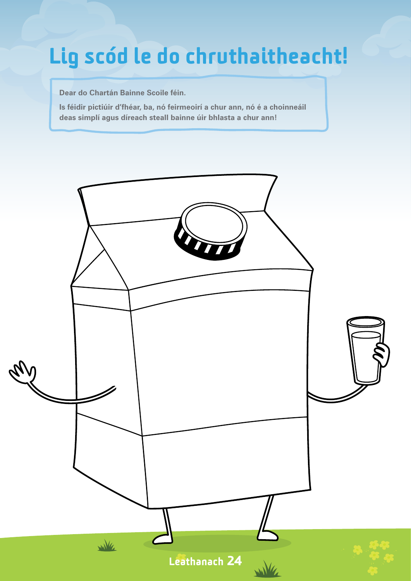### Lig scód le do chruthaitheacht!

**Dear do Chartán Bainne Scoile féin.**

**Is féidir pictiúir d'fhéar, ba, nó feirmeoirí a chur ann, nó é a choinneáil deas simplí agus díreach steall bainne úir bhlasta a chur ann!**